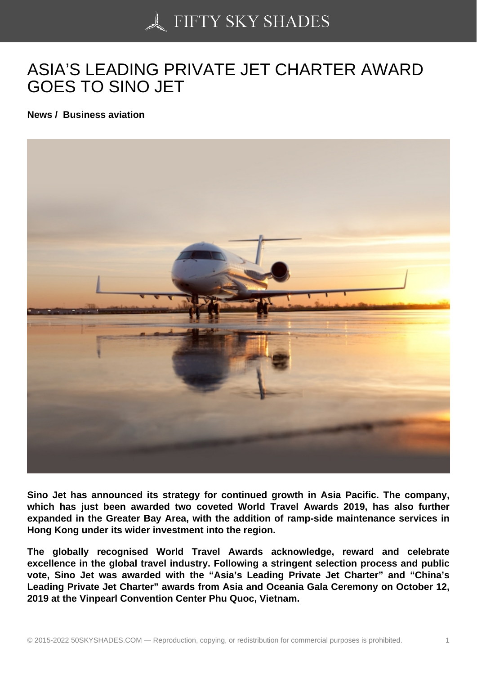## [ASIA'S LEADING PRIV](https://50skyshades.com)ATE JET CHARTER AWARD GOES TO SINO JET

News / Business aviation

Sino Jet has announced its strategy for continued growth in Asia Pacific. The company, which has just been awarded two coveted World Travel Awards 2019, has also further expanded in the Greater Bay Area, with the addition of ramp-side maintenance services in Hong Kong under its wider investment into the region.

The globally recognised World Travel Awards acknowledge, reward and celebrate excellence in the global travel industry. Following a stringent selection process and public vote, Sino Jet was awarded with the "Asia's Leading Private Jet Charter" and "China's Leading Private Jet Charter" awards from Asia and Oceania Gala Ceremony on October 12, 2019 at the Vinpearl Convention Center Phu Quoc, Vietnam.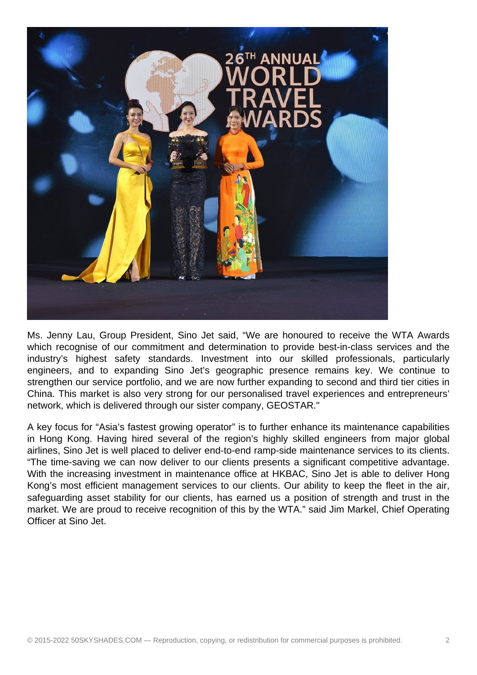

Ms. Jenny Lau, Group President, Sino Jet said, "We are honoured to receive the WTA Awards which recognise of our commitment and determination to provide best-in-class services and the industry's highest safety standards. Investment into our skilled professionals, particularly engineers, and to expanding Sino Jet's geographic presence remains key. We continue to strengthen our service portfolio, and we are now further expanding to second and third tier cities in China. This market is also very strong for our personalised travel experiences and entrepreneurs' network, which is delivered through our sister company, GEOSTAR."

A key focus for "Asia's fastest growing operator" is to further enhance its maintenance capabilities in Hong Kong. Having hired several of the region's highly skilled engineers from major global airlines, Sino Jet is well placed to deliver end-to-end ramp-side maintenance services to its clients. "The time-saving we can now deliver to our clients presents a significant competitive advantage. With the increasing investment in maintenance office at HKBAC, Sino Jet is able to deliver Hong Kong's most efficient management services to our clients. Our ability to keep the fleet in the air, safeguarding asset stability for our clients, has earned us a position of strength and trust in the market. We are proud to receive recognition of this by the WTA." said Jim Markel, Chief Operating Officer at Sino Jet.